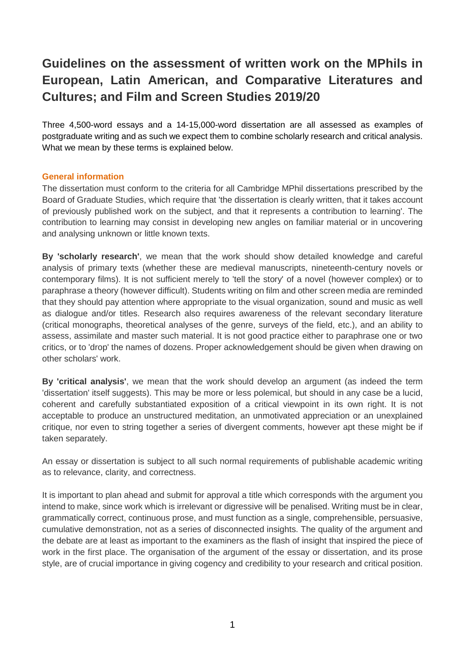# **Guidelines on the assessment of written work on the MPhils in European, Latin American, and Comparative Literatures and Cultures; and Film and Screen Studies 2019/20**

Three 4,500-word essays and a 14-15,000-word dissertation are all assessed as examples of postgraduate writing and as such we expect them to combine scholarly research and critical analysis. What we mean by these terms is explained below.

## **General information**

The dissertation must conform to the criteria for all Cambridge MPhil dissertations prescribed by the Board of Graduate Studies, which require that 'the dissertation is clearly written, that it takes account of previously published work on the subject, and that it represents a contribution to learning'. The contribution to learning may consist in developing new angles on familiar material or in uncovering and analysing unknown or little known texts.

**By 'scholarly research'**, we mean that the work should show detailed knowledge and careful analysis of primary texts (whether these are medieval manuscripts, nineteenth-century novels or contemporary films). It is not sufficient merely to 'tell the story' of a novel (however complex) or to paraphrase a theory (however difficult). Students writing on film and other screen media are reminded that they should pay attention where appropriate to the visual organization, sound and music as well as dialogue and/or titles. Research also requires awareness of the relevant secondary literature (critical monographs, theoretical analyses of the genre, surveys of the field, etc.), and an ability to assess, assimilate and master such material. It is not good practice either to paraphrase one or two critics, or to 'drop' the names of dozens. Proper acknowledgement should be given when drawing on other scholars' work.

**By 'critical analysis'**, we mean that the work should develop an argument (as indeed the term 'dissertation' itself suggests). This may be more or less polemical, but should in any case be a lucid, coherent and carefully substantiated exposition of a critical viewpoint in its own right. It is not acceptable to produce an unstructured meditation, an unmotivated appreciation or an unexplained critique, nor even to string together a series of divergent comments, however apt these might be if taken separately.

An essay or dissertation is subject to all such normal requirements of publishable academic writing as to relevance, clarity, and correctness.

It is important to plan ahead and submit for approval a title which corresponds with the argument you intend to make, since work which is irrelevant or digressive will be penalised. Writing must be in clear, grammatically correct, continuous prose, and must function as a single, comprehensible, persuasive, cumulative demonstration, not as a series of disconnected insights. The quality of the argument and the debate are at least as important to the examiners as the flash of insight that inspired the piece of work in the first place. The organisation of the argument of the essay or dissertation, and its prose style, are of crucial importance in giving cogency and credibility to your research and critical position.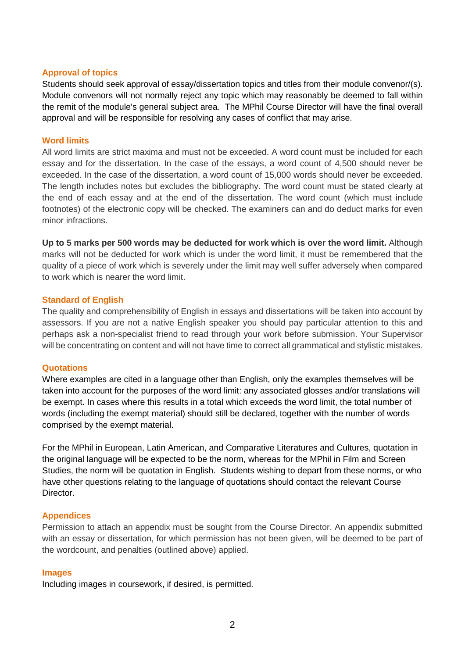### **Approval of topics**

Students should seek approval of essay/dissertation topics and titles from their module convenor/(s). Module convenors will not normally reject any topic which may reasonably be deemed to fall within the remit of the module's general subject area. The MPhil Course Director will have the final overall approval and will be responsible for resolving any cases of conflict that may arise.

## **Word limits**

All word limits are strict maxima and must not be exceeded. A word count must be included for each essay and for the dissertation. In the case of the essays, a word count of 4,500 should never be exceeded. In the case of the dissertation, a word count of 15,000 words should never be exceeded. The length includes notes but excludes the bibliography. The word count must be stated clearly at the end of each essay and at the end of the dissertation. The word count (which must include footnotes) of the electronic copy will be checked. The examiners can and do deduct marks for even minor infractions.

**Up to 5 marks per 500 words may be deducted for work which is over the word limit.** Although marks will not be deducted for work which is under the word limit, it must be remembered that the quality of a piece of work which is severely under the limit may well suffer adversely when compared to work which is nearer the word limit.

## **Standard of English**

The quality and comprehensibility of English in essays and dissertations will be taken into account by assessors. If you are not a native English speaker you should pay particular attention to this and perhaps ask a non-specialist friend to read through your work before submission. Your Supervisor will be concentrating on content and will not have time to correct all grammatical and stylistic mistakes.

#### **Quotations**

Where examples are cited in a language other than English, only the examples themselves will be taken into account for the purposes of the word limit: any associated glosses and/or translations will be exempt. In cases where this results in a total which exceeds the word limit, the total number of words (including the exempt material) should still be declared, together with the number of words comprised by the exempt material.

For the MPhil in European, Latin American, and Comparative Literatures and Cultures, quotation in the original language will be expected to be the norm, whereas for the MPhil in Film and Screen Studies, the norm will be quotation in English. Students wishing to depart from these norms, or who have other questions relating to the language of quotations should contact the relevant Course Director.

#### **Appendices**

Permission to attach an appendix must be sought from the Course Director. An appendix submitted with an essay or dissertation, for which permission has not been given, will be deemed to be part of the wordcount, and penalties (outlined above) applied.

#### **Images**

Including images in coursework, if desired, is permitted.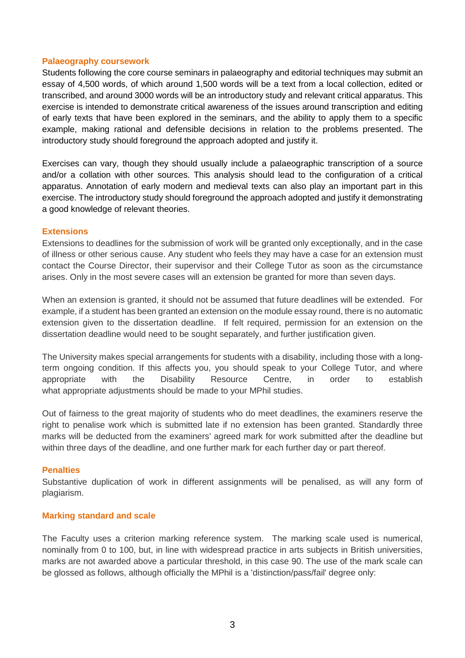## **Palaeography coursework**

Students following the core course seminars in palaeography and editorial techniques may submit an essay of 4,500 words, of which around 1,500 words will be a text from a local collection, edited or transcribed, and around 3000 words will be an introductory study and relevant critical apparatus. This exercise is intended to demonstrate critical awareness of the issues around transcription and editing of early texts that have been explored in the seminars, and the ability to apply them to a specific example, making rational and defensible decisions in relation to the problems presented. The introductory study should foreground the approach adopted and justify it.

Exercises can vary, though they should usually include a palaeographic transcription of a source and/or a collation with other sources. This analysis should lead to the configuration of a critical apparatus. Annotation of early modern and medieval texts can also play an important part in this exercise. The introductory study should foreground the approach adopted and justify it demonstrating a good knowledge of relevant theories.

## **Extensions**

Extensions to deadlines for the submission of work will be granted only exceptionally, and in the case of illness or other serious cause. Any student who feels they may have a case for an extension must contact the Course Director, their supervisor and their College Tutor as soon as the circumstance arises. Only in the most severe cases will an extension be granted for more than seven days.

When an extension is granted, it should not be assumed that future deadlines will be extended. For example, if a student has been granted an extension on the module essay round, there is no automatic extension given to the dissertation deadline. If felt required, permission for an extension on the dissertation deadline would need to be sought separately, and further justification given.

The University makes special arrangements for students with a disability, including those with a longterm ongoing condition. If this affects you, you should speak to your College Tutor, and where appropriate with the Disability Resource Centre, in order to establish what appropriate adjustments should be made to your MPhil studies.

Out of fairness to the great majority of students who do meet deadlines, the examiners reserve the right to penalise work which is submitted late if no extension has been granted. Standardly three marks will be deducted from the examiners' agreed mark for work submitted after the deadline but within three days of the deadline, and one further mark for each further day or part thereof.

## **Penalties**

Substantive duplication of work in different assignments will be penalised, as will any form of plagiarism.

## **Marking standard and scale**

The Faculty uses a criterion marking reference system. The marking scale used is numerical, nominally from 0 to 100, but, in line with widespread practice in arts subjects in British universities, marks are not awarded above a particular threshold, in this case 90. The use of the mark scale can be glossed as follows, although officially the MPhil is a 'distinction/pass/fail' degree only: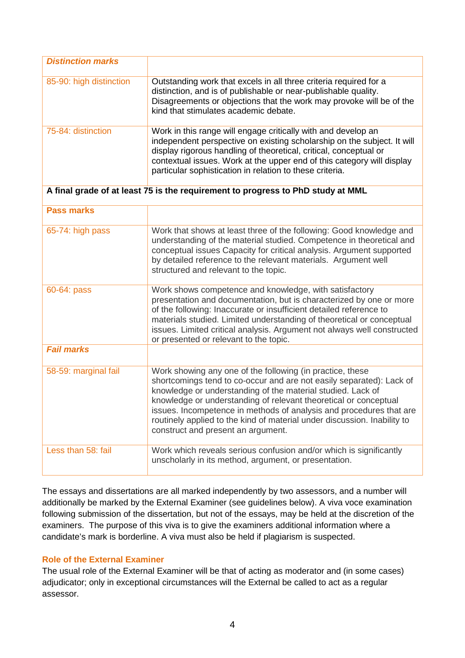| <b>Distinction marks</b>                                                        |                                                                                                                                                                                                                                                                                                                                                                                                                                                               |
|---------------------------------------------------------------------------------|---------------------------------------------------------------------------------------------------------------------------------------------------------------------------------------------------------------------------------------------------------------------------------------------------------------------------------------------------------------------------------------------------------------------------------------------------------------|
| 85-90: high distinction                                                         | Outstanding work that excels in all three criteria required for a<br>distinction, and is of publishable or near-publishable quality.<br>Disagreements or objections that the work may provoke will be of the<br>kind that stimulates academic debate.                                                                                                                                                                                                         |
| 75-84: distinction                                                              | Work in this range will engage critically with and develop an<br>independent perspective on existing scholarship on the subject. It will<br>display rigorous handling of theoretical, critical, conceptual or<br>contextual issues. Work at the upper end of this category will display<br>particular sophistication in relation to these criteria.                                                                                                           |
| A final grade of at least 75 is the requirement to progress to PhD study at MML |                                                                                                                                                                                                                                                                                                                                                                                                                                                               |
| <b>Pass marks</b>                                                               |                                                                                                                                                                                                                                                                                                                                                                                                                                                               |
| 65-74: high pass                                                                | Work that shows at least three of the following: Good knowledge and<br>understanding of the material studied. Competence in theoretical and<br>conceptual issues Capacity for critical analysis. Argument supported<br>by detailed reference to the relevant materials. Argument well<br>structured and relevant to the topic.                                                                                                                                |
| 60-64: pass                                                                     | Work shows competence and knowledge, with satisfactory<br>presentation and documentation, but is characterized by one or more<br>of the following: Inaccurate or insufficient detailed reference to<br>materials studied. Limited understanding of theoretical or conceptual<br>issues. Limited critical analysis. Argument not always well constructed<br>or presented or relevant to the topic.                                                             |
| <b>Fail marks</b>                                                               |                                                                                                                                                                                                                                                                                                                                                                                                                                                               |
| 58-59: marginal fail                                                            | Work showing any one of the following (in practice, these<br>shortcomings tend to co-occur and are not easily separated): Lack of<br>knowledge or understanding of the material studied. Lack of<br>knowledge or understanding of relevant theoretical or conceptual<br>issues. Incompetence in methods of analysis and procedures that are<br>routinely applied to the kind of material under discussion. Inability to<br>construct and present an argument. |
| Less than 58: fail                                                              | Work which reveals serious confusion and/or which is significantly<br>unscholarly in its method, argument, or presentation.                                                                                                                                                                                                                                                                                                                                   |

The essays and dissertations are all marked independently by two assessors, and a number will additionally be marked by the External Examiner (see guidelines below). A viva voce examination following submission of the dissertation, but not of the essays, may be held at the discretion of the examiners. The purpose of this viva is to give the examiners additional information where a candidate's mark is borderline. A viva must also be held if plagiarism is suspected.

# **Role of the External Examiner**

The usual role of the External Examiner will be that of acting as moderator and (in some cases) adjudicator; only in exceptional circumstances will the External be called to act as a regular assessor.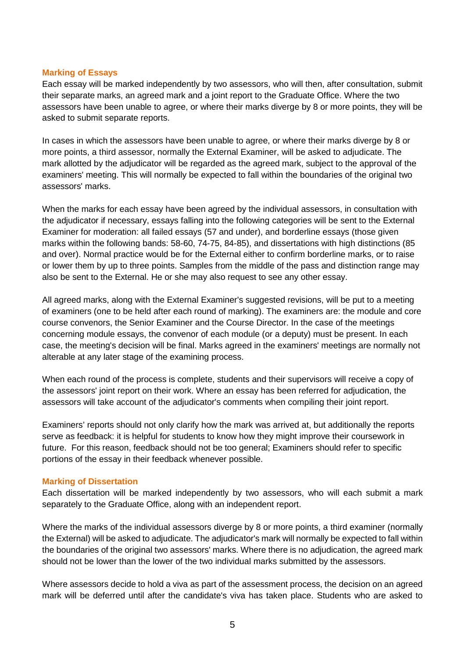## **Marking of Essays**

Each essay will be marked independently by two assessors, who will then, after consultation, submit their separate marks, an agreed mark and a joint report to the Graduate Office. Where the two assessors have been unable to agree, or where their marks diverge by 8 or more points, they will be asked to submit separate reports.

In cases in which the assessors have been unable to agree, or where their marks diverge by 8 or more points, a third assessor, normally the External Examiner, will be asked to adjudicate. The mark allotted by the adjudicator will be regarded as the agreed mark, subject to the approval of the examiners' meeting. This will normally be expected to fall within the boundaries of the original two assessors' marks.

When the marks for each essay have been agreed by the individual assessors, in consultation with the adjudicator if necessary, essays falling into the following categories will be sent to the External Examiner for moderation: all failed essays (57 and under), and borderline essays (those given marks within the following bands: 58-60, 74-75, 84-85), and dissertations with high distinctions (85 and over). Normal practice would be for the External either to confirm borderline marks, or to raise or lower them by up to three points. Samples from the middle of the pass and distinction range may also be sent to the External. He or she may also request to see any other essay.

All agreed marks, along with the External Examiner's suggested revisions, will be put to a meeting of examiners (one to be held after each round of marking). The examiners are: the module and core course convenors, the Senior Examiner and the Course Director. In the case of the meetings concerning module essays, the convenor of each module (or a deputy) must be present. In each case, the meeting's decision will be final. Marks agreed in the examiners' meetings are normally not alterable at any later stage of the examining process.

When each round of the process is complete, students and their supervisors will receive a copy of the assessors' joint report on their work. Where an essay has been referred for adjudication, the assessors will take account of the adjudicator's comments when compiling their joint report.

Examiners' reports should not only clarify how the mark was arrived at, but additionally the reports serve as feedback: it is helpful for students to know how they might improve their coursework in future. For this reason, feedback should not be too general; Examiners should refer to specific portions of the essay in their feedback whenever possible.

## **Marking of Dissertation**

Each dissertation will be marked independently by two assessors, who will each submit a mark separately to the Graduate Office, along with an independent report.

Where the marks of the individual assessors diverge by 8 or more points, a third examiner (normally the External) will be asked to adjudicate. The adjudicator's mark will normally be expected to fall within the boundaries of the original two assessors' marks. Where there is no adjudication, the agreed mark should not be lower than the lower of the two individual marks submitted by the assessors.

Where assessors decide to hold a viva as part of the assessment process, the decision on an agreed mark will be deferred until after the candidate's viva has taken place. Students who are asked to